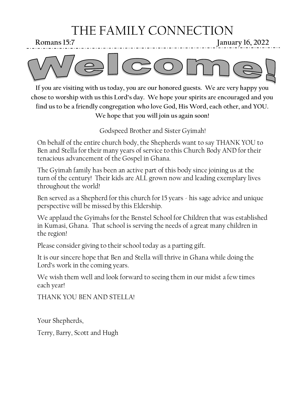# THE FAMILY CONNECTION

**Romans 15:7 January 16, 2022**



**If you are visiting with us today, you are our honored guests. We are very happy you chose to worship with us this Lord's day. We hope your spirits are encouraged and you find us to be a friendly congregation who love God, His Word, each other, and YOU. We hope that you will join us again soon!**

Godspeed Brother and Sister Gyimah!

On behalf of the entire church body, the Shepherds want to say THANK YOU to Ben and Stella for their many years of service to this Church Body AND for their tenacious advancement of the Gospel in Ghana.

The Gyimah family has been an active part of this body since joining us at the turn of the century! Their kids are ALL grown now and leading exemplary lives throughout the world!

Ben served as a Shepherd for this church for 15 years - his sage advice and unique perspective will be missed by this Eldership.

We applaud the Gyimahs for the Benstel School for Children that was established in Kumasi, Ghana. That school is serving the needs of a great many children in the region!

Please consider giving to their school today as a parting gift.

It is our sincere hope that Ben and Stella will thrive in Ghana while doing the Lord's work in the coming years.

We wish them well and look forward to seeing them in our midst a few times each year!

THANK YOU BEN AND STELLA!

Your Shepherds,

Terry, Barry, Scott and Hugh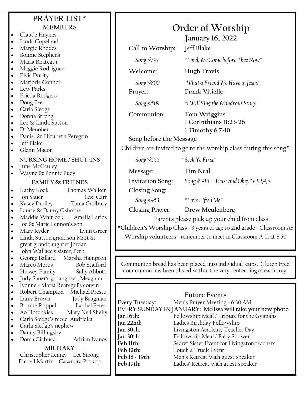### **PRAYER LIST\* MEMBERS**

- Claude Haynes
- Linda Copeland
- Margie Rhodes
- Bonnie Stephens
- Maria Reategui
- Maggie Rodriguez
- Elvis Durity
- Marjorie Connor
- Lew Parks
- Frieda Rodgers
- Doug Fee
- Carla Sledge
- Donna Strong
- Lee & Linda Sutton
- Di Menoher
- Daniel & Elizabeth Peregrin
- Jeff Blake
- Glenn Macon

### **NURSING HOME / SHUT-INS**

June McCauley

• Wayne & Bonnie Bucy

### **FAMILY & FRIENDS**

- Kathy Kock Thomas Walker • Jon Sauer Lexi Carr • Kasey Dudley Tania Gadbury Laurie & Danny Osborne Maddie Whitlock Amelia Larios • Joe & Marie Lennon's son • Mary Ryder Lynn Greer Linda Sutton grandson Matt & great granddaughter Jordan • John Wallace's sister, Beth • George Ballard Marsha Hampton Marco Moros Bob Stafford • Hussey Family Sally Abbott • Judy Sauer's g-daughter, Meaghan • Ivonne - Maria Reategui's cousin • Robert Champion Michael Presto • Larry Brown Judy Brugman • Brooke Ruppel Laubel Perez • Ao Hotchkiss Mary Nell Shelly • Carla Sledge's niece, Audricka • Carla Sledge's nephew
- Danny Billingsby
- Donia Ciabuca Adrian Ivanov

### **MILITARY**

Christopher Lemay Lee Strong Darrell Martin Casandra Prokop

# **Order of Worship**

**January 16, 2022**

**Call to Worship: Jeff Blake**

*Song #797 "Lord, We Come before Thee Now"*

**Welcome: Hugh Travis**

*Song #800 "What a Friend We Have in Jesus"*

**Prayer: Frank Vitiello**

*Song #509 "I Will Sing the Wondrous Story"*

**Communion: Tom Wriggins**

# **1 Corinthians 11:23-26 1 Timothy 6:7-10**

### **Song before the Message**

Children are invited to go to the worship class during this song\*

*Song #555 "Seek Ye First"*

**Message: Tim Neal**

**Invitation Song:** *Song # 915 "Trust and Obey" v 1,2,4,5*

**Closing Song:**

*Song #453 "Love Lifted Me"*

**Closing Prayer: Drew Meulenberg**

Parents please pick up your child from class

**\*Children's Worship Class** - 3 years of age to 2nd grade - Classroom A8

**Worship volunteers** - remember to meet in Classroom A-11 at 8:50

Communion bread has been placed into individual cups. Gluten Free communion has been placed within the very center ring of each tray.

### **Future Events**

**Every Tuesday:** Men's Prayer Meeting - 6:30 AM **EVERY SUNDAY IN JANUARY: Melissa will take your new photo Jan 16th:** Fellowship Meal / Tribute for the Gyimahs **Jan 22nd:** Ladies Birthday Fellowship **Jan 30th:** Livingston Academy Teacher Day **Jan 30th:** Fellowship Meal / Baby Shower<br>**Feb Uth:** Secret Sister Event for Livingsto **Secret Sister Event for Livingston teachers Feb 12th:** Touch a Truck Event **Feb 18 - 19th:** Men's Retreat with guest speaker Ladies' Retreat with guest speaker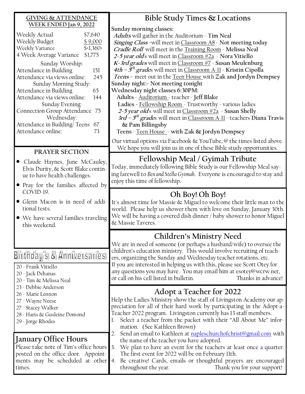#### **GIVING & ATTENDANCE WEEK ENDED Jan 9, 2022** Weekly Actual \$7,640 Weekly Budget \$9,000 Weekly Variance \$<1,360> 4 Week Average Variance \$1,775 Sunday Worship: Attendance in Building 151 Attendance via views online: 245 Sunday Morning Study: Attendance in Building 65 Attendance via views online: 144 Sunday Evening: **Bible Study Times & Locations Sunday morning classes: Adults** will gather in the Auditorium - **Tim Neal Singing Class -**will meet in Classroom A8 - **Not meeting today Cradle Roll** will meet in the Training Room - **Melissa Neal 2-5 year old**s will meet in Classroom #2a - **Nora Vitiello Sunday night:- Not meeting tonight Wednesday night classes 6:30PM: Adults** - Auditorium - teacher - **Jeff Blake**

Connection Group Attendance 75 Wednesday: Attendance in Building/ Teens 67 Attendance online: 73

### **PRAYER SECTION**

- Claude Haynes, June McCauley, Elvis Durity, & Scott Blake continue to have health challenges.
- Pray for the families affected by COVID-19.
- Glenn Macon is in need of additional tests.
- We have several families traveling this weekend.

# Birthday's & Anniversaries

- 20 Frank Vitiello
- 20 Jack Dehanas
- 20 Tim & Melissa Neal
- 23 Debbie Anderson
- 26 Marie Lennon
- 27 Wayne Neese
- 27 Stacey Walker
- 28 Haris & Gusleine Domond
- 29 Jorge Rhodes

### **January Office Hours**

Please take note of Tim's office hours posted on the office door. Appointments may be scheduled at other times.

**K-3rd grades** will meet in Classroom #7 - **Susan Meulenburg 4th – 5 th grade**s will meet in Classroom A-11 - **Kristin Cipolla Teens -** meet out in the Teen House with **Zak and Jordyn Dempsey Ladies -** Fellowship Room - Trustworthy - various ladies **2-5 year old**s will meet in Classroom #2a - **Susan Shelly 3rd – 5 th grade**s will meet in Classroom A-11 - teachers **Diana Travis & Pam Billingsby Teens** - Teen House - **with Zak & Jordyn Dempsey**

Our virtual options via Facebook & YouTube, @ the times listed above. We hope you will join us in one of these Bible study opportunities.

# **Fellowship Meal / Gyimah Tribute**

Today, immediately following Bible Study is our Fellowship Meal saying farewell to *Ben and Stella Gyimah*. Everyone is encouraged to stay and enjoy this time of fellowship.

# **Oh Boy! Oh Boy!**

It's almost time for Massie & Miguel to welcome their little man to the world. Please help us shower them with love on Sunday, January 30th. We will be having a covered dish dinner / baby shower to honor Miguel & Massie Taveres.

# **Children's Ministry Need**

We are in need of someone (or perhaps a husband/wife) to oversee the children's education ministry. This would involve recruiting of teachers, organizing the Sunday and Wednesday teacher rotations, etc. If you are interested in helping us with this, please see Scott Otey for any questions you may have. You may email him at esotey@wcrw.net, or call on his cell listed in bulletin. Thanks in advance!

## **Adopt a Teacher for 2022**

Help the Ladies Ministry show the staff of Livingston Academy our appreciation for all of their hard work by participating in the Adopt-a-Teacher 2022 program. Livingston currently has 13 staff members.

- 1. Select a teacher from the packet with their "All About Me" information. (See Kathleen Brown)
- 2. Send an email to Kathleen at [napleschurchofchrist@gmail.com](mailto:napleschurchofchrist@gmail.com) with the name of the teacher you have adopted.
- 3. We plan to have an event for the teachers at least once a quarter. The first event for 2022 will be on February 11th.
- 4. Be creative! Cards, emails or thoughtful prayers are encouraged throughout the year. Thank you for your support!